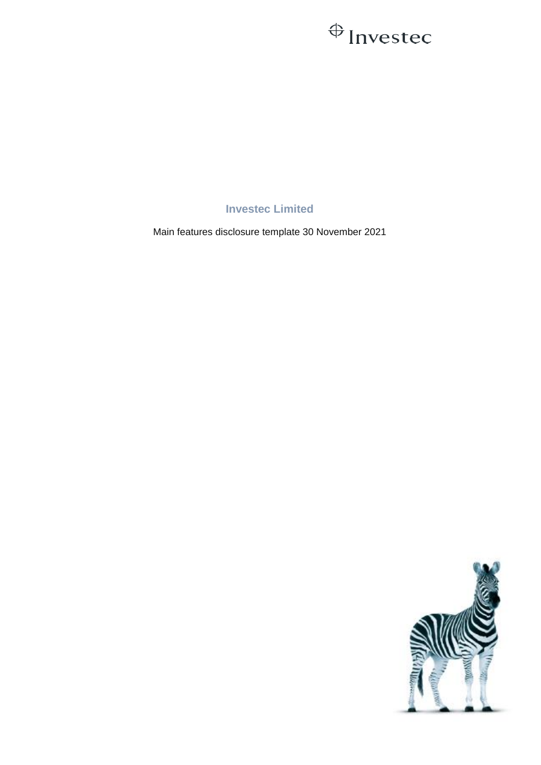## $\bigoplus$  Investec

**Investec Limited**

Main features disclosure template 30 November 2021

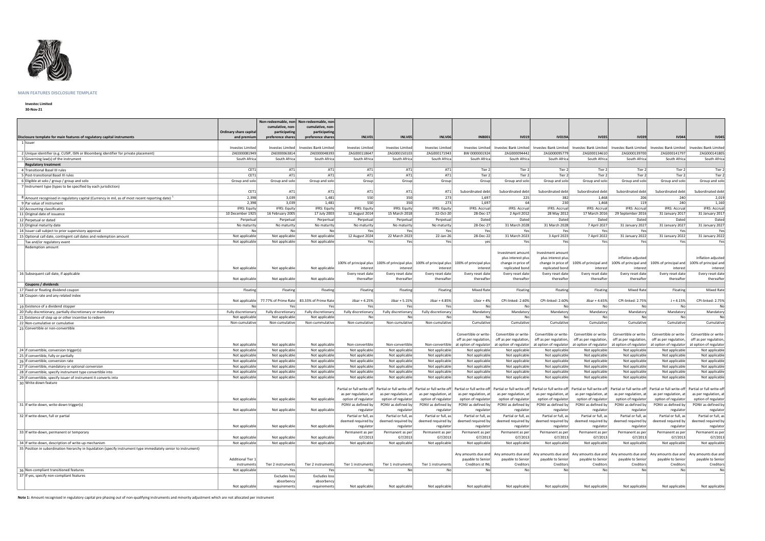

## **MAIN FEATURES DISCLOSURE TEMPLATE**

## **Investec Limited**

**30-Nov-21**

|                                                                                                                                 |                                       | Non-redeemable, non-<br>cumulative, non- | Non-redeemable, non-<br>cumulative, non-    |                                                                                                                                                                                                                                |                                      |                                  |                                        |                                         |                                           |                                           |                                  |                                                                                                                                                                               |                                         |
|---------------------------------------------------------------------------------------------------------------------------------|---------------------------------------|------------------------------------------|---------------------------------------------|--------------------------------------------------------------------------------------------------------------------------------------------------------------------------------------------------------------------------------|--------------------------------------|----------------------------------|----------------------------------------|-----------------------------------------|-------------------------------------------|-------------------------------------------|----------------------------------|-------------------------------------------------------------------------------------------------------------------------------------------------------------------------------|-----------------------------------------|
| Disclosure template for main features of regulatory capital instruments                                                         | Ordinary share capital<br>and premium | participating<br>preference shares       | participating<br>preference shares          | INLV01                                                                                                                                                                                                                         | INLV05                               | INLV06                           | <b>INB001</b>                          | <b>IV019</b>                            | <b>IV019A</b>                             | <b>IV035</b>                              | <b>IV039</b>                     | <b>IV044</b>                                                                                                                                                                  | <b>IV045</b>                            |
| 1   Issuer                                                                                                                      |                                       |                                          |                                             |                                                                                                                                                                                                                                |                                      |                                  |                                        |                                         |                                           |                                           |                                  |                                                                                                                                                                               |                                         |
|                                                                                                                                 | <b>Investec Limitec</b>               | Investec Limited                         | <b>Investec Bank Limited</b>                | Investec Limited                                                                                                                                                                                                               | Investec Limited                     | <b>Investec Limited</b>          | Investec Limited                       | Investec Bank Limited                   | Investec Bank Limited                     | Investec Bank Limited                     | Investec Bank Limited            | Investec Bank Limited                                                                                                                                                         | vestec Bank Limited                     |
| 2 Unique identifier (e.g. CUSIP, ISIN or Bloomberg identifier for private placement)                                            | ZAE000081949                          | ZAE000063814                             | ZAE000048393                                | ZAG000118647                                                                                                                                                                                                                   | ZAG000150103                         | ZAG000171943                     | BW 0000001924                          | ZAG000094442                            | ZAG000095779                              | ZAG000134610                              | ZAG000139700                     | ZAG000141797                                                                                                                                                                  | ZAG000141805                            |
| 3 Governing law(s) of the instrument                                                                                            | South Africa                          | South Africa                             | South Africa                                | South Africa                                                                                                                                                                                                                   | South Africa                         | South Africa                     | South Africa                           | South Africa                            | South Africa                              | South Africa                              | South Africa                     | South Africa                                                                                                                                                                  | South Africa                            |
| <b>Regulatory treatment</b>                                                                                                     |                                       |                                          |                                             |                                                                                                                                                                                                                                |                                      |                                  |                                        |                                         |                                           |                                           |                                  |                                                                                                                                                                               |                                         |
| 4 Transitional Basel III rules                                                                                                  | CET1                                  | AT1                                      | AT1                                         | AT1                                                                                                                                                                                                                            | AT1                                  | AT1                              | Tier 2                                 | Tier 2                                  | Tier 2                                    | Tier 2                                    | Tier 2                           | Tier 2                                                                                                                                                                        | Tier 2                                  |
| 5 Post-transitional Basel III rules                                                                                             | CET1                                  | AT1                                      | AT1                                         | AT1                                                                                                                                                                                                                            | AT1                                  | AT1                              | Tier 2                                 | Tier 2                                  | Tier 2                                    | Tier 2                                    | Tier 2                           | Tier 2                                                                                                                                                                        | Tier 2                                  |
| 6 Eligible at solo / group / group and solo                                                                                     | Group and solo                        | Group and solo                           | Group and solo                              | Group                                                                                                                                                                                                                          | Group                                | Group                            | Group                                  | Group and solo                          | Group and solo                            | Group and solo                            | Group and solo                   | Group and solo                                                                                                                                                                | Group and solo                          |
| 7 Instrument type (types to be specified by each jurisdiction)                                                                  | CET1                                  | AT1                                      | AT1                                         | AT1                                                                                                                                                                                                                            | AT1                                  | AT1                              | Subordinated debt                      | Subordinated debt                       | Subordinated debt                         | Subordinated debt                         | Subordinated debt                | Subordinated debt                                                                                                                                                             | Subordinated debt                       |
| <sup>8</sup>   Amount recognised in regulatory capital (Currency in mil, as of most recent reporting date)                      | 2,398                                 | 3,039                                    | 1,481                                       | 550                                                                                                                                                                                                                            | 350                                  | 273                              | 1,697                                  | 225                                     | 382                                       | 1,468                                     | 206                              | 240                                                                                                                                                                           | 2,019                                   |
| 9 Par value of instrument                                                                                                       | 2,398                                 | 3,039                                    | 1,481                                       | 550                                                                                                                                                                                                                            | 350                                  | 273                              | 1,697                                  | 64                                      | 230                                       | 1,468                                     | 119                              | 240                                                                                                                                                                           | 1,160                                   |
| 10 Accounting classification                                                                                                    | <b>IFRS: Equity</b>                   | <b>IFRS: Equity</b>                      | <b>IFRS: Equity</b>                         | <b>IFRS: Equity</b>                                                                                                                                                                                                            | <b>IFRS: Equity</b><br>15 March 2018 | <b>IFRS: Equity</b><br>22-Oct-20 | <b>IFRS: Accrual</b>                   | <b>IFRS: Accrual</b>                    | <b>IFRS: Accrual</b>                      | <b>IFRS: Accrual</b>                      | <b>IFRS: Accrual</b>             | <b>IFRS: Accrual</b>                                                                                                                                                          | <b>IFRS: Accrual</b><br>31 January 2017 |
| 11 Original date of issuance                                                                                                    | 10 December 1925                      | 16 February 2005                         | 17 July 2003                                | 12 August 2014                                                                                                                                                                                                                 |                                      |                                  | 28-Dec-17                              | 2 April 2012                            | 28 May 2012                               | 17 March 2016                             | 29 September 2016                | 31 January 2017                                                                                                                                                               |                                         |
| 12 Perpetual or dated                                                                                                           | Perpetual                             | Perpetual                                | Perpertual                                  | Perpetual                                                                                                                                                                                                                      | Perpetual                            | Perpetual                        | Dated                                  | Dated                                   | Dated                                     | Dated                                     | Dated                            | Dated                                                                                                                                                                         | Dated                                   |
| 13 Original maturity date                                                                                                       | No maturity                           | No maturity                              | No maturity                                 | No maturity                                                                                                                                                                                                                    | No matuirty                          | No maturity                      | 28-Dec-27                              | 31 March 2028                           | 31 March 2028                             | 7 April 2027                              | 31 January 2027                  | 31 January 2027                                                                                                                                                               | 31 January 2027                         |
| 14 Issuer call subject to prior supervisory approval                                                                            | No                                    | No                                       | No                                          | Yes<br>12 August 2024                                                                                                                                                                                                          | Yes<br>22 March 2023                 | Yes<br>22-Jan-26                 | Yes<br>28-Dec-22                       | Yes<br>31 March 2023                    | Yes<br>3 April 2023                       | Yes<br>7 April 2022                       | Yes<br>31 January 2022           | Yes<br>31 January 2022                                                                                                                                                        | Yes<br>31 January 2022                  |
| 15 Optional call date, contingent call dates and redemption amount                                                              | Not applicable<br>Not applicable      | Not applicable<br>Not applicable         | Not applicable<br>Not applicable            | Yes                                                                                                                                                                                                                            | Yes                                  | Yes                              |                                        | Yes                                     | Yes                                       | Yes                                       | Yes                              | Yes                                                                                                                                                                           |                                         |
| Tax and/or regulatory event<br>Redemption amount                                                                                |                                       |                                          |                                             |                                                                                                                                                                                                                                |                                      |                                  | yes                                    |                                         |                                           |                                           |                                  |                                                                                                                                                                               | Yes                                     |
|                                                                                                                                 |                                       |                                          |                                             |                                                                                                                                                                                                                                |                                      |                                  |                                        | Investment amount<br>plus interest plus | Investment amount<br>plus interest plus   |                                           | inflation adjusted               |                                                                                                                                                                               | inflation adjusted                      |
|                                                                                                                                 |                                       |                                          |                                             | 100% of principal plus 100% of principal plus                                                                                                                                                                                  |                                      | 100% of principal plus           | 100% of principal plus                 | change in price of                      | change in price of                        | 100% of principal and                     |                                  | 100% of principal and   100% of principal and                                                                                                                                 | 100% of principal and                   |
|                                                                                                                                 | Not applicable                        | Not applicable                           | Not applicable                              | interest                                                                                                                                                                                                                       | interest                             | interest                         | interest                               | replicated bond                         | replicated bond                           | interest                                  | interest                         | interest                                                                                                                                                                      | interest                                |
| 16 Subsequent call date, if applicable                                                                                          |                                       |                                          |                                             | Every reset date                                                                                                                                                                                                               | Every reset date                     | Every reset date                 | Every reset date                       | Every reset date                        | Every reset date                          | Every reset date                          | Every reset date                 | Every reset date                                                                                                                                                              | Every reset date                        |
|                                                                                                                                 | Not applicable                        | Not applicable                           | Not applicable                              | thereafter                                                                                                                                                                                                                     | thereafter                           | thereafter                       | thereafter                             | thereafter                              | thereafter                                | thereafter                                | thereafter                       | thereafter                                                                                                                                                                    | thereafter                              |
| Coupons / dividends                                                                                                             |                                       |                                          |                                             |                                                                                                                                                                                                                                |                                      |                                  |                                        |                                         |                                           |                                           |                                  |                                                                                                                                                                               |                                         |
| 17 Fixed or floating dividend coupon                                                                                            | Floating                              | Floating                                 | Floating                                    | Floating                                                                                                                                                                                                                       | Floating                             | Floating                         | <b>Mixed Rate</b>                      | Floating                                | Floating                                  | Floating                                  | <b>Mixed Rate</b>                | Floating                                                                                                                                                                      | <b>Mixed Rate</b>                       |
| 18 Coupon rate and any related index                                                                                            | Not applicable                        |                                          | 77.77% of Prime Rate   83.33% of Prime Rate | Jibar + 4.25%                                                                                                                                                                                                                  | Jibar + 5.15%                        | Jibar + 4.85%                    | Libor $+4%$                            | CPI-linked: 2.60%                       | CPI-linked: 2.60%                         | Jibar + 4.65%                             | CPI-linked: 2.75%                | $J + 4.15%$                                                                                                                                                                   | CPI-linked: 2.75%                       |
| 19 Existence of a dividend stopper                                                                                              | No                                    | Yes                                      | Yes                                         | Yes                                                                                                                                                                                                                            | Yes                                  | Yes                              | No                                     | No                                      | No                                        | No                                        | No                               | No                                                                                                                                                                            | No                                      |
| 20 Fully discretionary, partially discretionary or mandatory                                                                    | Fully discretionary                   | Fully discretionary                      | Fully discretionary                         | Fully discretionary                                                                                                                                                                                                            | Fully discretionary                  | Fully discretionary              | Mandatory                              | Mandatory                               | Mandatory                                 | Mandatory                                 | Mandatory                        | Mandatory                                                                                                                                                                     | Mandatory                               |
| 21 Existence of step up or other incentive to redeem                                                                            | Not applicable                        | Not applicable                           | Not applicable                              | No                                                                                                                                                                                                                             | No                                   | No                               | Nol                                    | No                                      | No                                        | No                                        | No                               | No l                                                                                                                                                                          | No                                      |
| 22 Non-cumulative or cumulative                                                                                                 | Non-cumulative                        | Non-cumulative                           | Non-cummulative                             | Non-cumulative                                                                                                                                                                                                                 | Non-cumulative                       | Non-cumulative                   | Cumulative                             | Cumulative                              | Cumulative                                | Cumulative                                | Cumulative                       | Cumulative                                                                                                                                                                    | Cumulative                              |
| 23 Convertible or non-convertible                                                                                               |                                       |                                          |                                             |                                                                                                                                                                                                                                |                                      |                                  |                                        |                                         |                                           |                                           |                                  |                                                                                                                                                                               |                                         |
|                                                                                                                                 |                                       |                                          |                                             |                                                                                                                                                                                                                                |                                      |                                  | Convertible or write-                  | Convertible or write-                   | Convertible or write-                     | Convertible or write-                     | Convertible or write-            | Convertible or write-                                                                                                                                                         | Convertible or write-                   |
|                                                                                                                                 |                                       |                                          |                                             |                                                                                                                                                                                                                                |                                      |                                  | off as per regulation,                 | off as per regulation,                  | off as per regulation,                    | off as per regulation,                    | off as per regulation,           | off as per regulation,                                                                                                                                                        | off as per regulation,                  |
|                                                                                                                                 | Not applicable                        | Not applicable                           | Not applicable                              | Non-convertible                                                                                                                                                                                                                | Non-convertible                      |                                  | Non-convertible at option of regulator |                                         |                                           |                                           |                                  | at option of regulator at option of regulator at option of regulator at option of regulator at option of regulator                                                            | at option of regulator                  |
| 24 if convertible, conversion trigger(s)                                                                                        | Not applicable                        | Not applicable                           | Not applicable                              | Not applicable                                                                                                                                                                                                                 | Not applicable                       | Not applicable                   | Not applicable                         | Not applicable                          | Not applicable                            | Not applicable                            | Not applicable                   | Not applicable                                                                                                                                                                | Not applicable                          |
| 25 if convertible, fully or partially                                                                                           | Not applicable                        | Not applicable                           | Not applicable                              | Not applicable                                                                                                                                                                                                                 | Not applicable                       | Not applicable                   | Not applicable                         | Not applicable                          | Not applicable                            | Not applicable                            | Not applicable                   | Not applicable                                                                                                                                                                | Not applicable                          |
| 26 if convertible, conversion rate                                                                                              | Not applicable                        | Not applicable                           | Not applicable                              | Not applicable                                                                                                                                                                                                                 | Not applicable                       | Not applicable                   | Not applicable                         | Not applicable                          | Not applicable                            | Not applicable                            | Not applicable                   | Not applicable                                                                                                                                                                | Not applicable                          |
| 27 if convertible, mandatory or optional conversion                                                                             | Not applicable                        | Not applicable                           | Not applicable<br>Not applicable            | Not applicable<br>Not applicable                                                                                                                                                                                               | Not applicable                       | Not applicable                   | Not applicable                         | Not applicable<br>Not applicable        | Not applicable<br>Not applicable          | Not applicable                            | Not applicable                   | Not applicable                                                                                                                                                                | Not applicable                          |
| 28 if convertible, specify instrument type convertible into<br>29 if convertible, specify issuer of instrument it converts into | Not applicable                        | Not applicable                           |                                             |                                                                                                                                                                                                                                |                                      |                                  |                                        |                                         |                                           |                                           |                                  |                                                                                                                                                                               |                                         |
| 30 Write-down feature                                                                                                           |                                       |                                          |                                             |                                                                                                                                                                                                                                | Not applicable                       | Not applicable                   | Not applicable                         |                                         |                                           | Not applicable                            | Not applicable                   | Not applicable                                                                                                                                                                | Not applicable                          |
|                                                                                                                                 | Not applicable                        | Not applicable                           | Not applicable                              | Not applicable                                                                                                                                                                                                                 | Not applicable                       | Not applicable                   | Not applicable                         | Not applicable                          | Not applicable                            | Not applicable                            | Not applicable                   | Not applicable                                                                                                                                                                | Not applicable                          |
|                                                                                                                                 |                                       |                                          |                                             |                                                                                                                                                                                                                                |                                      |                                  |                                        |                                         |                                           |                                           |                                  |                                                                                                                                                                               |                                         |
|                                                                                                                                 |                                       |                                          |                                             | Partial or full write-off  Partial or full write-off  Partial or full write-off  Partial or full write-off  Partial or full write-off  Partial or full write-off  Partial or full write-off  Partial or full write-off  Partia |                                      |                                  |                                        |                                         |                                           |                                           |                                  |                                                                                                                                                                               |                                         |
|                                                                                                                                 |                                       |                                          |                                             | as per regulation, at                                                                                                                                                                                                          | as per regulation, at                | as per regulation, at            | as per regulation, at                  | as per regulation, at                   | as per regulation, at                     | as per regulation, at                     | as per regulation, at            | as per regulation, at                                                                                                                                                         | as per regulation, at                   |
|                                                                                                                                 | Not applicable                        | Not applicable                           | Not applicable                              | option of regulator                                                                                                                                                                                                            | option of regulator                  | option of regulator              | option of regulator                    | option of regulator                     | option of regulator                       | option of regulator                       | option of regulator              | option of regulator                                                                                                                                                           | option of regulator                     |
| 31 If write-down, write-down trigger(s)                                                                                         | Not applicable                        | Not applicable                           | Not applicable                              | PONV as defined by<br>regulator                                                                                                                                                                                                | PONV as defined by                   | PONV as defined by<br>regulator  | PONV as defined by                     | PONV as defined by<br>regulator         | PONV as defined by                        | PONV as defined by                        | PONV as defined by               | PONV as defined by                                                                                                                                                            | PONV as defined by<br>regulator         |
| 32 If write-down, full or partial                                                                                               |                                       |                                          |                                             | Partial or full, as                                                                                                                                                                                                            | regulator<br>Partial or full, as     | Partial or full, as              | regulator<br>Partial or full, as       | Partial or full, as                     | regulator                                 | regulator                                 | regulator<br>Partial or full, as | regulator<br>Partial or full, as                                                                                                                                              | Partial or full, as                     |
|                                                                                                                                 |                                       |                                          |                                             | deemed required by                                                                                                                                                                                                             | deemed required by                   | deemed required by               | deemed required by                     | deemed required by                      | Partial or full, as<br>deemed required by | Partial or full, as<br>deemed required by | deemed required by               | deemed required by                                                                                                                                                            | deemed required by                      |
|                                                                                                                                 | Not applicable                        | Not applicable                           | Not applicable                              | regulator                                                                                                                                                                                                                      | regulator                            | regulator                        | regulator                              | regulator                               | regulator                                 | regulator                                 | regulator                        | regulator                                                                                                                                                                     | regulator                               |
| 33 If write-down, permanent or temporary                                                                                        |                                       |                                          |                                             | Permanent as per                                                                                                                                                                                                               | Permanent as per                     | Permanent as per                 | Permanent as per                       | Permanent as per                        | Permanent as per                          | Permanent as per                          | Permanent as per                 | Permanent as per                                                                                                                                                              | Permanent as per                        |
|                                                                                                                                 | Not applicable                        | Not applicable                           | Not applicable                              | G7/2013                                                                                                                                                                                                                        | G7/2013                              | G7/2013                          | G7/2013                                | G7/2013                                 | G7/2013                                   | G7/2013                                   | G7/2013                          | G7/2013                                                                                                                                                                       | G7/2013                                 |
| 34 If write-down, description of write-up mechanism                                                                             | Not applicable                        | Not applicable                           | Not applicable                              | Not applicable                                                                                                                                                                                                                 | Not applicable                       | Not applicable                   | Not applicable                         | Not applicable                          | Not applicable                            | Not applicable                            | Not applicable                   | Not applicable                                                                                                                                                                | Not applicable                          |
| 35 Position in subordination hierarchy in liquidation (specify instrument type immediately senior to instrument)                |                                       |                                          |                                             |                                                                                                                                                                                                                                |                                      |                                  |                                        |                                         |                                           |                                           |                                  |                                                                                                                                                                               |                                         |
|                                                                                                                                 |                                       |                                          |                                             |                                                                                                                                                                                                                                |                                      |                                  |                                        |                                         |                                           |                                           |                                  | Any amounts due and   Any amounts due and   Any amounts due and   Any amounts due and   Any amounts due and   Any amounts due and   Any amounts due and   Any amounts due and |                                         |
|                                                                                                                                 | <b>Additional Tier 1</b>              |                                          |                                             |                                                                                                                                                                                                                                |                                      |                                  | payable to Senior                      | payable to Senior                       | payable to Senior                         | payable to Senior                         | payable to Senior                | payable to Senior                                                                                                                                                             | payable to Senior                       |
|                                                                                                                                 | instruments                           | Tier 2 instruments                       | Tier 2 instruments                          | Tier 1 instruments                                                                                                                                                                                                             | Tier 1 instruments                   | Tier 1 instruments               | Creditors st INL                       | Creditors                               | Creditors                                 | Creditors                                 | Creditors                        | Creditors                                                                                                                                                                     | Creditors                               |
| 36 Non-compliant transitioned features                                                                                          | Not applicable                        | Yes                                      | Yes                                         | No                                                                                                                                                                                                                             | No                                   | No                               | No                                     | No                                      | No                                        | No                                        | No                               | No                                                                                                                                                                            | No                                      |
| 37 If yes, specify non-compliant features                                                                                       |                                       | Excludes loss                            | Excludes loss                               |                                                                                                                                                                                                                                |                                      |                                  |                                        |                                         |                                           |                                           |                                  |                                                                                                                                                                               |                                         |
|                                                                                                                                 | Not applicable                        | absorbency<br>requirements               | absorbency<br>requirements                  | Not applicable                                                                                                                                                                                                                 | Not applicable                       | Not applicable                   | Not applicable                         | Not applicable                          | Not applicable                            | Not applicable                            | Not applicable                   | Not applicable                                                                                                                                                                | Not applicable                          |

**Note 1:** Amount recognised in regulatory capital pre phasing out of non-qualifying instruments and minority adjustment which are not allocated per instrument